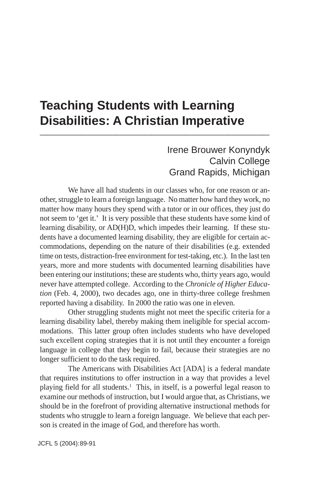## **Teaching Students with Learning Disabilities: A Christian Imperative \_\_\_\_\_\_\_\_\_\_\_\_\_\_\_\_\_\_\_\_\_\_\_\_\_\_\_\_\_\_\_\_\_**

## Irene Brouwer Konyndyk Calvin College Grand Rapids, Michigan

We have all had students in our classes who, for one reason or another, struggle to learn a foreign language. No matter how hard they work, no matter how many hours they spend with a tutor or in our offices, they just do not seem to 'get it.' It is very possible that these students have some kind of learning disability, or AD(H)D, which impedes their learning. If these students have a documented learning disability, they are eligible for certain accommodations, depending on the nature of their disabilities (e.g. extended time on tests, distraction-free environment for test-taking, etc.). In the last ten years, more and more students with documented learning disabilities have been entering our institutions; these are students who, thirty years ago, would never have attempted college. According to the *Chronicle of Higher Education* (Feb. 4, 2000), two decades ago, one in thirty-three college freshmen reported having a disability. In 2000 the ratio was one in eleven.

Other struggling students might not meet the specific criteria for a learning disability label, thereby making them ineligible for special accommodations. This latter group often includes students who have developed such excellent coping strategies that it is not until they encounter a foreign language in college that they begin to fail, because their strategies are no longer sufficient to do the task required.

The Americans with Disabilities Act [ADA] is a federal mandate that requires institutions to offer instruction in a way that provides a level playing field for all students.<sup>1</sup> This, in itself, is a powerful legal reason to examine our methods of instruction, but I would argue that, as Christians, we should be in the forefront of providing alternative instructional methods for students who struggle to learn a foreign language. We believe that each person is created in the image of God, and therefore has worth.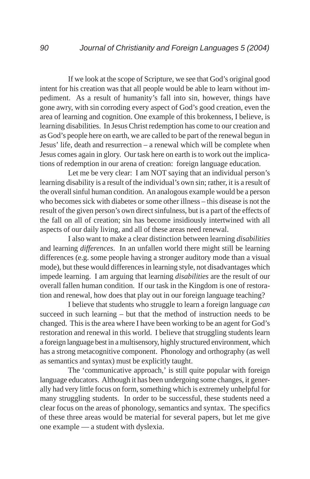If we look at the scope of Scripture, we see that God's original good intent for his creation was that all people would be able to learn without impediment. As a result of humanity's fall into sin, however, things have gone awry, with sin corroding every aspect of God's good creation, even the area of learning and cognition. One example of this brokenness, I believe, is learning disabilities. In Jesus Christ redemption has come to our creation and as God's people here on earth, we are called to be part of the renewal begun in Jesus' life, death and resurrection – a renewal which will be complete when Jesus comes again in glory. Our task here on earth is to work out the implications of redemption in our arena of creation: foreign language education.

Let me be very clear: I am NOT saying that an individual person's learning disability is a result of the individual's own sin; rather, it is a result of the overall sinful human condition. An analogous example would be a person who becomes sick with diabetes or some other illness – this disease is not the result of the given person's own direct sinfulness, but is a part of the effects of the fall on all of creation; sin has become insidiously intertwined with all aspects of our daily living, and all of these areas need renewal.

I also want to make a clear distinction between learning *disabilities* and learning *differences*. In an unfallen world there might still be learning differences (e.g. some people having a stronger auditory mode than a visual mode), but these would differences in learning style, not disadvantages which impede learning. I am arguing that learning *disabilities* are the result of our overall fallen human condition. If our task in the Kingdom is one of restoration and renewal, how does that play out in our foreign language teaching?

I believe that students who struggle to learn a foreign language *can* succeed in such learning – but that the method of instruction needs to be changed. This is the area where I have been working to be an agent for God's restoration and renewal in this world. I believe that struggling students learn a foreign language best in a multisensory, highly structured environment, which has a strong metacognitive component. Phonology and orthography (as well as semantics and syntax) must be explicitly taught.

The 'communicative approach,' is still quite popular with foreign language educators. Although it has been undergoing some changes, it generally had very little focus on form, something which is extremely unhelpful for many struggling students. In order to be successful, these students need a clear focus on the areas of phonology, semantics and syntax. The specifics of these three areas would be material for several papers, but let me give one example — a student with dyslexia.